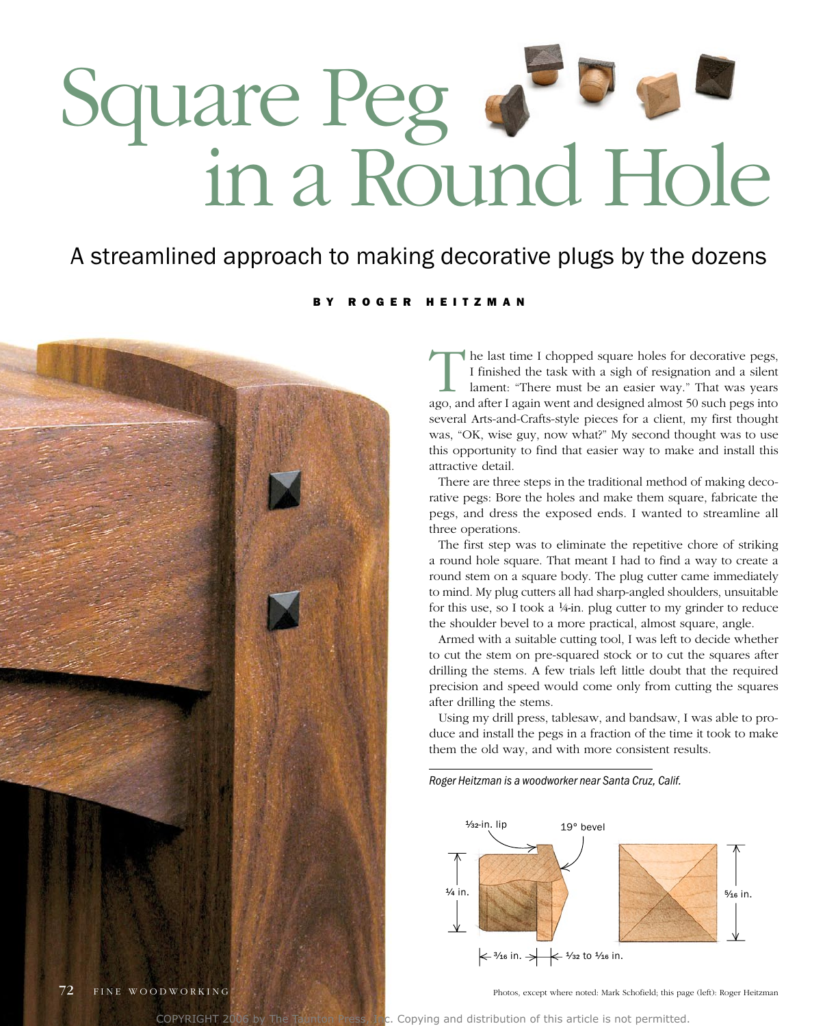# square Peg in a round Hole

#### A streamlined approach to making decorative plugs by the dozens

#### B Y R O G E R H E I T Z M A N



the last time I chopped square holes for decorative pegs, I finished the task with a sigh of resignation and a silent lament: "There must be an easier way." That was years ago, and after I again went and designed almost 50 such pegs into several arts-and-Crafts-style pieces for a client, my first thought was, "ok, wise guy, now what?" My second thought was to use this opportunity to find that easier way to make and install this attractive detail.

There are three steps in the traditional method of making decorative pegs: Bore the holes and make them square, fabricate the pegs, and dress the exposed ends. I wanted to streamline all three operations.

The first step was to eliminate the repetitive chore of striking a round hole square. That meant I had to find a way to create a round stem on a square body. The plug cutter came immediately to mind. My plug cutters all had sharp-angled shoulders, unsuitable for this use, so I took a  $\frac{1}{4}$ -in. plug cutter to my grinder to reduce the shoulder bevel to a more practical, almost square, angle.

armed with a suitable cutting tool, I was left to decide whether to cut the stem on pre-squared stock or to cut the squares after drilling the stems. a few trials left little doubt that the required precision and speed would come only from cutting the squares after drilling the stems.

Using my drill press, tablesaw, and bandsaw, I was able to produce and install the pegs in a fraction of the time it took to make them the old way, and with more consistent results.

*Roger Heitzman is a woodworker near Santa Cruz, Calif.*



Photos, except where noted: Mark Schofield; this page (left): Roger Heitzman

COPYRIGHT 2006 by The Taunton Press, Inc. Copying and distribution of this article is not permitted.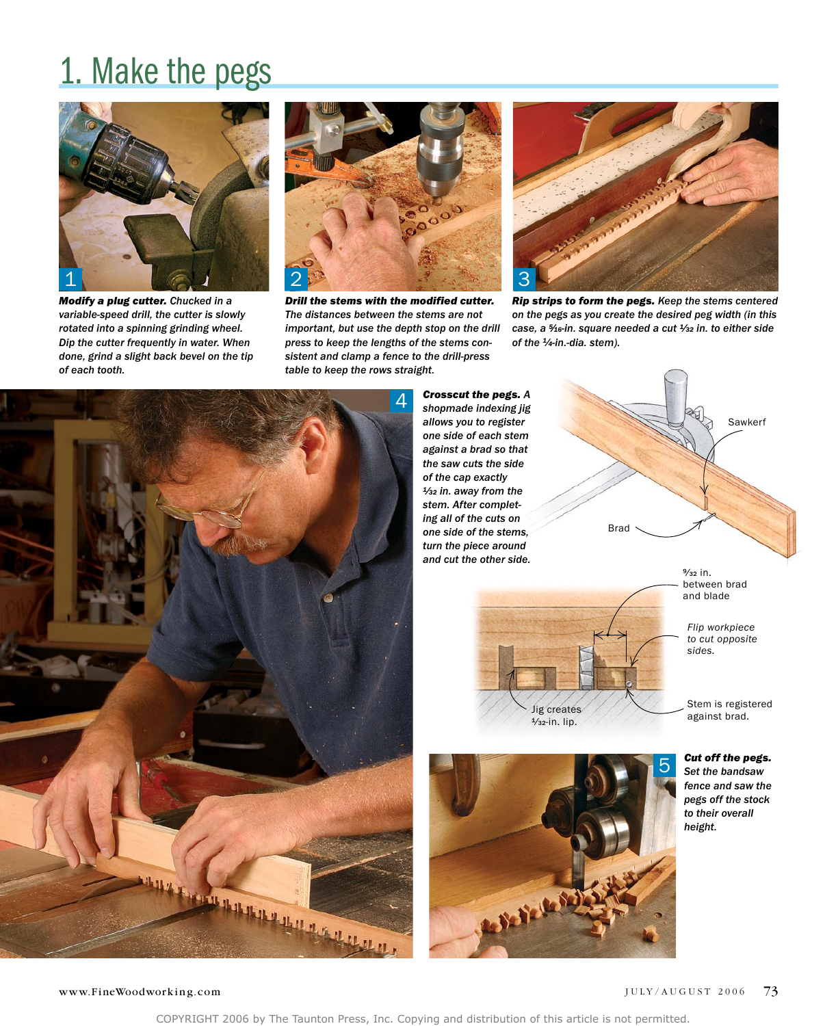### 1. Make the pegs



*Modify a plug cutter. Chucked in a variable-speed drill, the cutter is slowly rotated into a spinning grinding wheel. Dip the cutter frequently in water. When done, grind a slight back bevel on the tip of each tooth.*



*Drill the stems with the modified cutter. The distances between the stems are not important, but use the depth stop on the drill press to keep the lengths of the stems consistent and clamp a fence to the drill-press table to keep the rows straight.*



*Rip strips to form the pegs. Keep the stems centered on the pegs as you create the desired peg width (in this case, a 5⁄16-in. square needed a cut 1⁄32 in. to either side of the 1⁄4-in.-dia. stem).*



*Crosscut the pegs. A shopmade indexing jig allows you to register one side of each stem against a brad so that the saw cuts the side of the cap exactly 1⁄32 in. away from the stem. After completing all of the cuts on one side of the stems, turn the piece around and cut the other side.*







between brad and blade

*Flip workpiece to cut opposite sides.*

Stem is registered against brad.

*Cut off the pegs. Set the bandsaw fence and saw the pegs off the stock to their overall height.*